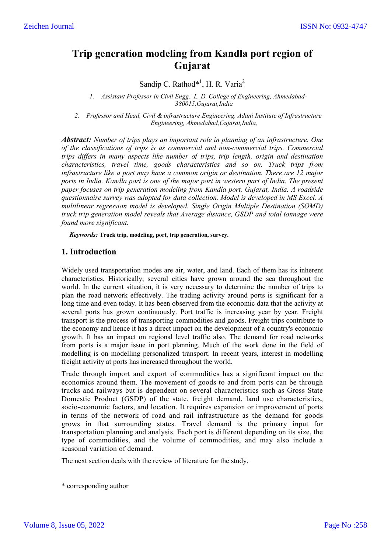# **Trip generation modeling from Kandla port region of Gujarat**

Sandip C. Rathod\*<sup>1</sup>, H. R. Varia<sup>2</sup>

*1. Assistant Professor in Civil Engg., L. D. College of Engineering, Ahmedabad-380015,Gujarat,India*

*2. Professor and Head, Civil & infrastructure Engineering, Adani Institute of Infrastructure Engineering, Ahmedabad,Gujarat,India,* 

*Abstract: Number of trips plays an important role in planning of an infrastructure. One of the classifications of trips is as commercial and non-commercial trips. Commercial trips differs in many aspects like number of trips, trip length, origin and destination characteristics, travel time, goods characteristics and so on. Truck trips from infrastructure like a port may have a common origin or destination. There are 12 major ports in India. Kandla port is one of the major port in western part of India. The present paper focuses on trip generation modeling from Kandla port, Gujarat, India. A roadside questionnaire survey was adopted for data collection. Model is developed in MS Excel. A multilinear regression model is developed. Single Origin Multiple Destination (SOMD) truck trip generation model reveals that Average distance, GSDP and total tonnage were found more significant.*

*Keywords:* **Truck trip, modeling, port, trip generation, survey.**

# **1. Introduction**

Widely used transportation modes are air, water, and land. Each of them has its inherent characteristics. Historically, several cities have grown around the sea throughout the world. In the current situation, it is very necessary to determine the number of trips to plan the road network effectively. The trading activity around ports is significant for a long time and even today. It has been observed from the economic data that the activity at several ports has grown continuously. Port traffic is increasing year by year. Freight transport is the process of transporting commodities and goods. Freight trips contribute to the economy and hence it has a direct impact on the development of a country's economic growth. It has an impact on regional level traffic also. The demand for road networks from ports is a major issue in port planning. Much of the work done in the field of modelling is on modelling personalized transport. In recent years, interest in modelling freight activity at ports has increased throughout the world.

Trade through import and export of commodities has a significant impact on the economics around them. The movement of goods to and from ports can be through trucks and railways but is dependent on several characteristics such as Gross State Domestic Product (GSDP) of the state, freight demand, land use characteristics, socio-economic factors, and location. It requires expansion or improvement of ports in terms of the network of road and rail infrastructure as the demand for goods grows in that surrounding states. Travel demand is the primary input for transportation planning and analysis. Each port is different depending on its size, the type of commodities, and the volume of commodities, and may also include a seasonal variation of demand.

The next section deals with the review of literature for the study.

\* corresponding author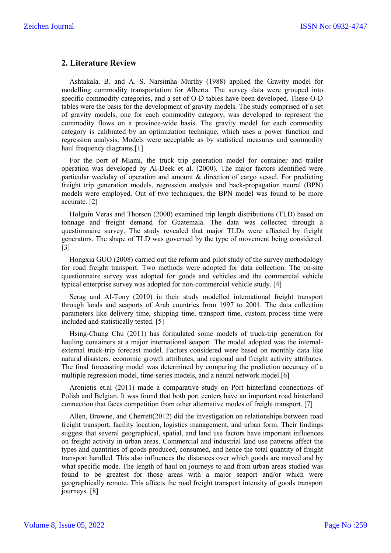# **2. Literature Review**

Ashtakala. B. and A. S. Narsimha Murthy (1988) applied the Gravity model for modelling commodity transportation for Alberta. The survey data were grouped into specific commodity categories, and a set of O-D tables have been developed. These O-D tables were the basis for the development of gravity models. The study comprised of a set of gravity models, one for each commodity category, was developed to represent the commodity flows on a province-wide basis. The gravity model for each commodity category is calibrated by an optimization technique, which uses a power function and regression analysis. Models were acceptable as by statistical measures and commodity haul frequency diagrams.[1]

For the port of Miami, the truck trip generation model for container and trailer operation was developed by Al-Deek et al. (2000). The major factors identified were particular weekday of operation and amount & direction of cargo vessel. For predicting freight trip generation models, regression analysis and back-propagation neural (BPN) models were employed. Out of two techniques, the BPN model was found to be more accurate. [2]

Holguin Veras and Thorson (2000) examined trip length distributions (TLD) based on tonnage and freight demand for Guatemala. The data was collected through a questionnaire survey. The study revealed that major TLDs were affected by freight generators. The shape of TLD was governed by the type of movement being considered. [3]

Hongxia GUO (2008) carried out the reform and pilot study of the survey methodology for road freight transport. Two methods were adopted for data collection. The on-site questionnaire survey was adopted for goods and vehicles and the commercial vehicle typical enterprise survey was adopted for non-commercial vehicle study. [4]

Serag and Al-Tony (2010) in their study modelled international freight transport through lands and seaports of Arab countries from 1997 to 2001. The data collection parameters like delivery time, shipping time, transport time, custom process time were included and statistically tested. [5]

Hsing-Chung Chu (2011) has formulated some models of truck-trip generation for hauling containers at a major international seaport. The model adopted was the internalexternal truck-trip forecast model. Factors considered were based on monthly data like natural disasters, economic growth attributes, and regional and freight activity attributes. The final forecasting model was determined by comparing the prediction accuracy of a multiple regression model, time-series models, and a neural network model.[6]

Aronietis et.al (2011) made a comparative study on Port hinterland connections of Polish and Belgian. It was found that both port centers have an important road hinterland connection that faces competition from other alternative modes of freight transport. [7]

Allen, Browne, and Cherrett(2012) did the investigation on relationships between road freight transport, facility location, logistics management, and urban form. Their findings suggest that several geographical, spatial, and land use factors have important influences on freight activity in urban areas. Commercial and industrial land use patterns affect the types and quantities of goods produced, consumed, and hence the total quantity of freight transport handled. This also influences the distances over which goods are moved and by what specific mode. The length of haul on journeys to and from urban areas studied was found to be greatest for those areas with a major seaport and/or which were geographically remote. This affects the road freight transport intensity of goods transport journeys. [8]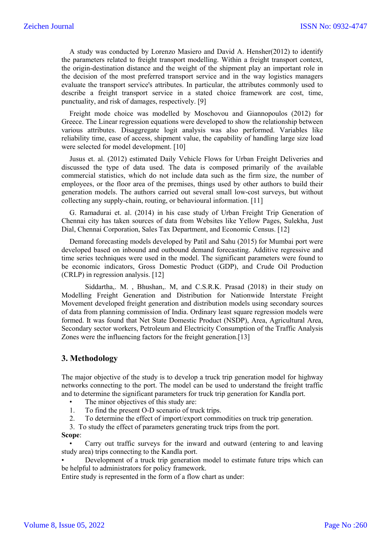A study was conducted by Lorenzo Masiero and David A. Hensher(2012) to identify the parameters related to freight transport modelling. Within a freight transport context, the origin-destination distance and the weight of the shipment play an important role in the decision of the most preferred transport service and in the way logistics managers evaluate the transport service's attributes. In particular, the attributes commonly used to describe a freight transport service in a stated choice framework are cost, time, punctuality, and risk of damages, respectively. [9]

Freight mode choice was modelled by Moschovou and Giannopoulos (2012) for Greece. The Linear regression equations were developed to show the relationship between various attributes. Disaggregate logit analysis was also performed. Variables like reliability time, ease of access, shipment value, the capability of handling large size load were selected for model development. [10]

Jusus et. al. (2012) estimated Daily Vehicle Flows for Urban Freight Deliveries and discussed the type of data used. The data is composed primarily of the available commercial statistics, which do not include data such as the firm size, the number of employees, or the floor area of the premises, things used by other authors to build their generation models. The authors carried out several small low-cost surveys, but without collecting any supply-chain, routing, or behavioural information. [11]

G. Ramadurai et. al. (2014) in his case study of Urban Freight Trip Generation of Chennai city has taken sources of data from Websites like Yellow Pages, Sulekha, Just Dial, Chennai Corporation, Sales Tax Department, and Economic Census. [12]

Demand forecasting models developed by Patil and Sahu (2015) for Mumbai port were developed based on inbound and outbound demand forecasting. Additive regressive and time series techniques were used in the model. The significant parameters were found to be economic indicators, Gross Domestic Product (GDP), and Crude Oil Production (CRLP) in regression analysis. [12]

Siddartha,. M. , Bhushan,. M, and C.S.R.K. Prasad (2018) in their study on Modelling Freight Generation and Distribution for Nationwide Interstate Freight Movement developed freight generation and distribution models using secondary sources of data from planning commission of India. Ordinary least square regression models were formed. It was found that Net State Domestic Product (NSDP), Area, Agricultural Area, Secondary sector workers, Petroleum and Electricity Consumption of the Traffic Analysis Zones were the influencing factors for the freight generation.[13]

### **3. Methodology**

The major objective of the study is to develop a truck trip generation model for highway networks connecting to the port. The model can be used to understand the freight traffic and to determine the significant parameters for truck trip generation for Kandla port.

- The minor objectives of this study are:
- 1. To find the present O-D scenario of truck trips.
- 2. To determine the effect of import/export commodities on truck trip generation.
- 3. To study the effect of parameters generating truck trips from the port.

#### **Scope**:

• Carry out traffic surveys for the inward and outward (entering to and leaving study area) trips connecting to the Kandla port.

• Development of a truck trip generation model to estimate future trips which can be helpful to administrators for policy framework.

Entire study is represented in the form of a flow chart as under: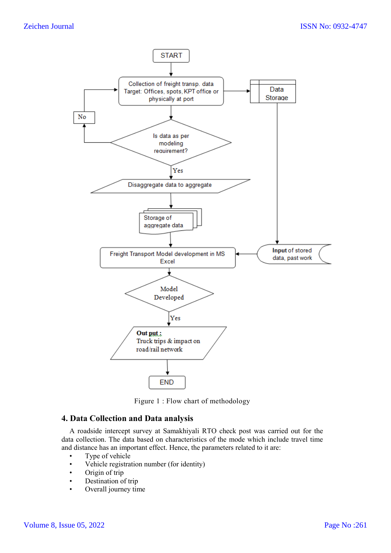

Figure 1 : Flow chart of methodology

# **4. Data Collection and Data analysis**

A roadside intercept survey at Samakhiyali RTO check post was carried out for the data collection. The data based on characteristics of the mode which include travel time and distance has an important effect. Hence, the parameters related to it are:

- Type of vehicle
- Vehicle registration number (for identity)
- Origin of trip
- Destination of trip
- Overall journey time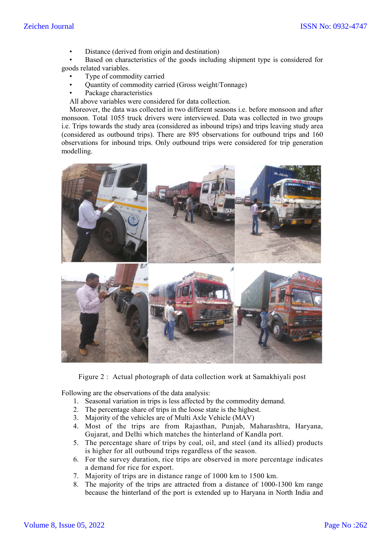Distance (derived from origin and destination)

Based on characteristics of the goods including shipment type is considered for goods related variables.

- Type of commodity carried
- Quantity of commodity carried (Gross weight/Tonnage)
- Package characteristics

All above variables were considered for data collection.

Moreover, the data was collected in two different seasons i.e. before monsoon and after monsoon. Total 1055 truck drivers were interviewed. Data was collected in two groups i.e. Trips towards the study area (considered as inbound trips) and trips leaving study area (considered as outbound trips). There are 895 observations for outbound trips and 160 observations for inbound trips. Only outbound trips were considered for trip generation modelling.



Figure 2 : Actual photograph of data collection work at Samakhiyali post

Following are the observations of the data analysis:

- 1. Seasonal variation in trips is less affected by the commodity demand.
- 2. The percentage share of trips in the loose state is the highest.
- 3. Majority of the vehicles are of Multi Axle Vehicle (MAV)
- 4. Most of the trips are from Rajasthan, Punjab, Maharashtra, Haryana, Gujarat, and Delhi which matches the hinterland of Kandla port.
- 5. The percentage share of trips by coal, oil, and steel (and its allied) products is higher for all outbound trips regardless of the season.
- 6. For the survey duration, rice trips are observed in more percentage indicates a demand for rice for export.
- 7. Majority of trips are in distance range of 1000 km to 1500 km.
- 8. The majority of the trips are attracted from a distance of 1000-1300 km range because the hinterland of the port is extended up to Haryana in North India and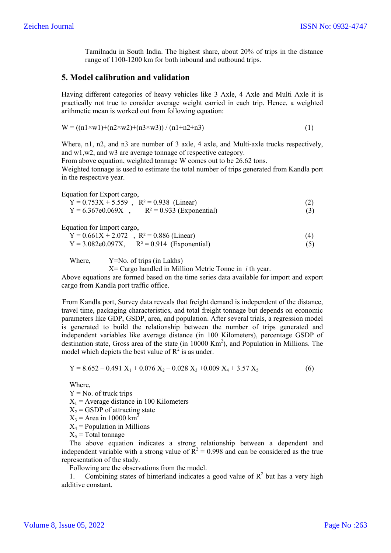Tamilnadu in South India. The highest share, about 20% of trips in the distance range of 1100-1200 km for both inbound and outbound trips.

## **5. Model calibration and validation**

Having different categories of heavy vehicles like 3 Axle, 4 Axle and Multi Axle it is practically not true to consider average weight carried in each trip. Hence, a weighted arithmetic mean is worked out from following equation:

$$
W = ((n1 \times w1) + (n2 \times w2) + (n3 \times w3)) / (n1 + n2 + n3)
$$
\n(1)

Where, n1, n2, and n3 are number of 3 axle, 4 axle, and Multi-axle trucks respectively, and w1,w2, and w3 are average tonnage of respective category.

From above equation, weighted tonnage W comes out to be 26.62 tons. Weighted tonnage is used to estimate the total number of trips generated from Kandla port in the respective year.

Equation for Export cargo,

| $Y = 0.753X + 5.559$ , $R^2 = 0.938$ (Linear) |                             |     |
|-----------------------------------------------|-----------------------------|-----|
| $Y = 6.367e0.069X$                            | $R^2 = 0.933$ (Exponential) | (3) |

Equation for Import cargo,

| $Y = 0.661X + 2.072$ , $R^2 = 0.886$ (Linear)    | (4) |
|--------------------------------------------------|-----|
| $Y = 3.082e0.097X$ , $R^2 = 0.914$ (Exponential) | (5) |

Where,  $Y=No$  of trips (in Lakhs)

X= Cargo handled in Million Metric Tonne in *i* th year.

Above equations are formed based on the time series data available for import and export cargo from Kandla port traffic office.

From Kandla port, Survey data reveals that freight demand is independent of the distance, travel time, packaging characteristics, and total freight tonnage but depends on economic parameters like GDP, GSDP, area, and population. After several trials, a regression model is generated to build the relationship between the number of trips generated and independent variables like average distance (in 100 Kilometers), percentage GSDP of destination state, Gross area of the state (in 10000 Km<sup>2</sup>), and Population in Millions. The model which depicts the best value of  $R^2$  is as under.

$$
Y = 8.652 - 0.491 X_1 + 0.076 X_2 - 0.028 X_3 + 0.009 X_4 + 3.57 X_5
$$
 (6)

Where,

 $Y = No$ . of truck trips

- $X_1$  = Average distance in 100 Kilometers
- $X_2$  = GSDP of attracting state
- $X_3$  = Area in 10000 km<sup>2</sup>
- $X_4$  = Population in Millions
- $X_5$  = Total tonnage

The above equation indicates a strong relationship between a dependent and independent variable with a strong value of  $R^2 = 0.998$  and can be considered as the true representation of the study.

Following are the observations from the model.

1. Combining states of hinterland indicates a good value of  $R^2$  but has a very high additive constant.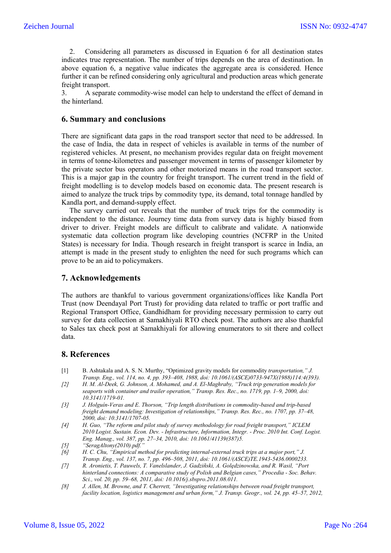2. Considering all parameters as discussed in Equation 6 for all destination states indicates true representation. The number of trips depends on the area of destination. In above equation 6, a negative value indicates the aggregate area is considered. Hence further it can be refined considering only agricultural and production areas which generate freight transport.

3. A separate commodity-wise model can help to understand the effect of demand in the hinterland.

### **6. Summary and conclusions**

There are significant data gaps in the road transport sector that need to be addressed. In the case of India, the data in respect of vehicles is available in terms of the number of registered vehicles. At present, no mechanism provides regular data on freight movement in terms of tonne-kilometres and passenger movement in terms of passenger kilometer by the private sector bus operators and other motorized means in the road transport sector. This is a major gap in the country for freight transport. The current trend in the field of freight modelling is to develop models based on economic data. The present research is aimed to analyze the truck trips by commodity type, its demand, total tonnage handled by Kandla port, and demand-supply effect.

The survey carried out reveals that the number of truck trips for the commodity is independent to the distance. Journey time data from survey data is highly biased from driver to driver. Freight models are difficult to calibrate and validate. A nationwide systematic data collection program like developing countries (NCFRP in the United States) is necessary for India. Though research in freight transport is scarce in India, an attempt is made in the present study to enlighten the need for such programs which can prove to be an aid to policymakers.

# **7. Acknowledgements**

The authors are thankful to various government organizations/offices like Kandla Port Trust (now Deendayal Port Trust) for providing data related to traffic or port traffic and Regional Transport Office, Gandhidham for providing necessary permission to carry out survey for data collection at Samakhiyali RTO check post. The authors are also thankful to Sales tax check post at Samakhiyali for allowing enumerators to sit there and collect data.

### **8. References**

- [1] B. Ashtakala and A. S. N. Murthy, "Optimized gravity models for commodity *transportation," J. Transp. Eng., vol. 114, no. 4, pp. 393–408, 1988, doi: 10.1061/(ASCE)0733-947X(1988)114:4(393).*
- *[2] H. M. Al-Deek, G. Johnson, A. Mohamed, and A. El-Maghraby, "Truck trip generation models for seaports with container and trailer operation," Transp. Res. Rec., no. 1719, pp. 1–9, 2000, doi: 10.3141/1719-01.*
- *[3] J. Holguín-Veras and E. Thorson, "Trip length distributions in commodity-based and trip-based freight demand modeling: Investigation of relationships," Transp. Res. Rec., no. 1707, pp. 37–48, 2000, doi: 10.3141/1707-05.*
- *[4] H. Guo, "The reform and pilot study of survey methodology for road freight transport," ICLEM 2010 Logist. Sustain. Econ. Dev. - Infrastructure, Information, Integr. - Proc. 2010 Int. Conf. Logist. Eng. Manag., vol. 387, pp. 27–34, 2010, doi: 10.1061/41139(387)5.*
- *[5] "SeragAltony(2010).pdf."*
- *[6] H. C. Chu, "Empirical method for predicting internal-external truck trips at a major port," J. Transp. Eng., vol. 137, no. 7, pp. 496–508, 2011, doi: 10.1061/(ASCE)TE.1943-5436.0000233.*
- *[7] R. Aronietis, T. Pauwels, T. Vanelslander, J. Gadziñski, A. Golȩdzinowska, and R. Wasil, "Port hinterland connections: A comparative study of Polish and Belgian cases," Procedia - Soc. Behav. Sci., vol. 20, pp. 59–68, 2011, doi: 10.1016/j.sbspro.2011.08.011.*
- *[8] J. Allen, M. Browne, and T. Cherrett, "Investigating relationships between road freight transport, facility location, logistics management and urban form," J. Transp. Geogr., vol. 24, pp. 45–57, 2012,*